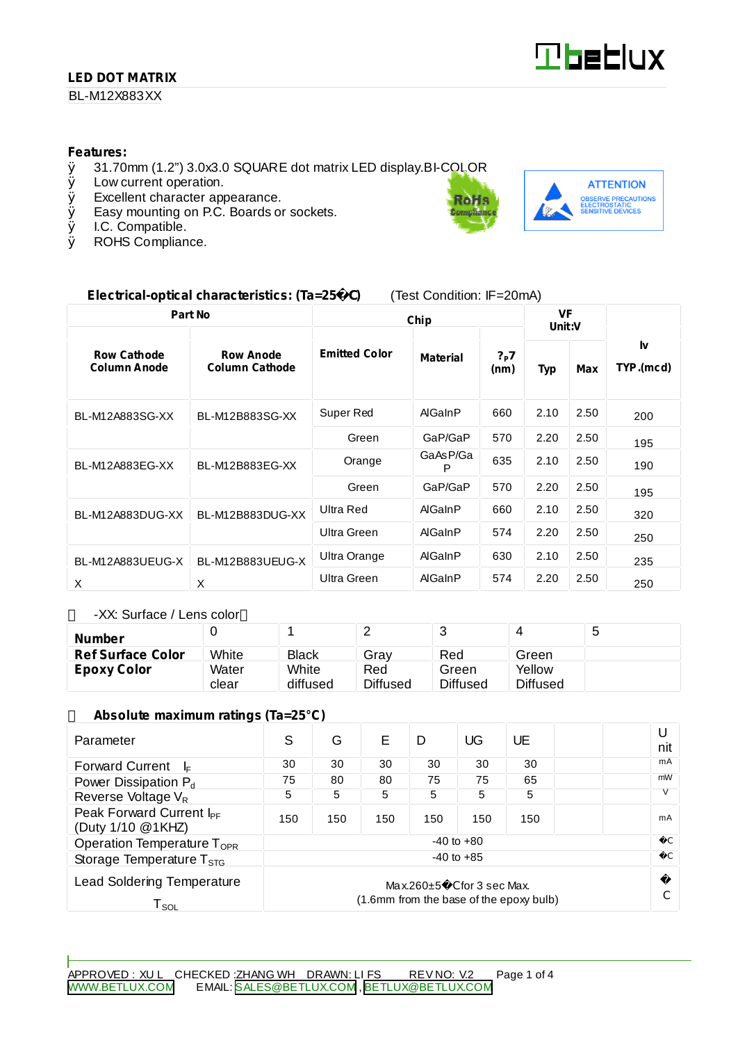## **LED DOT MATRIX**

BL-M12X883XX



#### **Features:**

- Ø 31.70mm (1.2") 3.0x3.0 SQUARE dot matrix LED display.BI-COLOR
- Low current operation.
- Ø Excellent character appearance.
- Ø Easy mounting on P.C. Boards or sockets.
- Ø I.C. Compatible.<br>Ø ROHS Complian
- ROHS Compliance.



## **Electrical-optical characteristics: (Ta=25** C**)** (Test Condition: IF=20mA)

| Part No                                   |                                           | Chip                 |                 |                            | <b>VF</b><br>Unit:V |      |                 |
|-------------------------------------------|-------------------------------------------|----------------------|-----------------|----------------------------|---------------------|------|-----------------|
| <b>Row Cathode</b><br><b>Column Anode</b> | <b>Row Anode</b><br><b>Column Cathode</b> | <b>Emitted Color</b> | <b>Material</b> | $?_{\mathsf{P}}$ 7<br>(nm) | Typ                 | Max  | I٧<br>TYP.(mcd) |
| BL-M12A883SG-XX                           | BL-M12B883SG-XX                           | Super Red            | AlGaInP         | 660                        | 2.10                | 2.50 | 200             |
|                                           |                                           | Green                | GaP/GaP         | 570                        | 2.20                | 2.50 | 195             |
| BL-M12A883EG-XX                           | BL-M12B883EG-XX                           | Orange               | GaAsP/Ga<br>P   | 635                        | 2.10                | 2.50 | 190             |
|                                           |                                           | Green                | GaP/GaP         | 570                        | 2.20                | 2.50 | 195             |
| BL-M12A883DUG-XX                          | BL-M12B883DUG-XX                          | Ultra Red            | <b>AlGaInP</b>  | 660                        | 2.10                | 2.50 | 320             |
|                                           |                                           | Ultra Green          | AlGaInP         | 574                        | 2.20                | 2.50 | 250             |
| BL-M12A883UEUG-X                          | BL-M12B883UEUG-X                          | Ultra Orange         | AlGaInP         | 630                        | 2.10                | 2.50 | 235             |
| X                                         | X                                         | Ultra Green          | AlGaInP         | 574                        | 2.20                | 2.50 | 250             |

-XX: Surface / Lens color

| <b>Number</b>            |       |              | _               |          |          | ت |
|--------------------------|-------|--------------|-----------------|----------|----------|---|
| <b>Ref Surface Color</b> | White | <b>Black</b> | Grav            | Red      | Green    |   |
| <b>Epoxy Color</b>       | Water | White        | Red             | Green    | Yellow   |   |
|                          | clear | diffused     | <b>Diffused</b> | Diffused | Diffused |   |

#### **Absolute maximum ratings (Ta=25°C)**

| Parameter                                                                                                                            | S              | G   | F   | D   | UG  | UE  |  | U<br>nit      |
|--------------------------------------------------------------------------------------------------------------------------------------|----------------|-----|-----|-----|-----|-----|--|---------------|
| <b>Forward Current</b><br>l⊧                                                                                                         | 30             | 30  | 30  | 30  | 30  | 30  |  | mA            |
| Power Dissipation P <sub>d</sub>                                                                                                     | 75             | 80  | 80  | 75  | 75  | 65  |  | mW            |
| Reverse Voltage V <sub>R</sub>                                                                                                       | 5              | 5   | 5   | 5   | 5   | 5   |  |               |
| Peak Forward Current I <sub>PF</sub><br>(Duty 1/10 @1KHZ)                                                                            | 150            | 150 | 150 | 150 | 150 | 150 |  | mA            |
| Operation Temperature $T_{\text{OPR}}$                                                                                               | $-40$ to $+80$ |     |     |     |     |     |  |               |
| Storage Temperature $T_{\rm STG}$                                                                                                    | $-40$ to $+85$ |     |     |     |     |     |  | $\mathcal{C}$ |
| <b>Lead Soldering Temperature</b><br>$Max.260 \pm 5$ C for 3 sec Max.<br>(1.6mm from the base of the epoxy bulb)<br>T <sub>sol</sub> |                |     |     |     |     |     |  |               |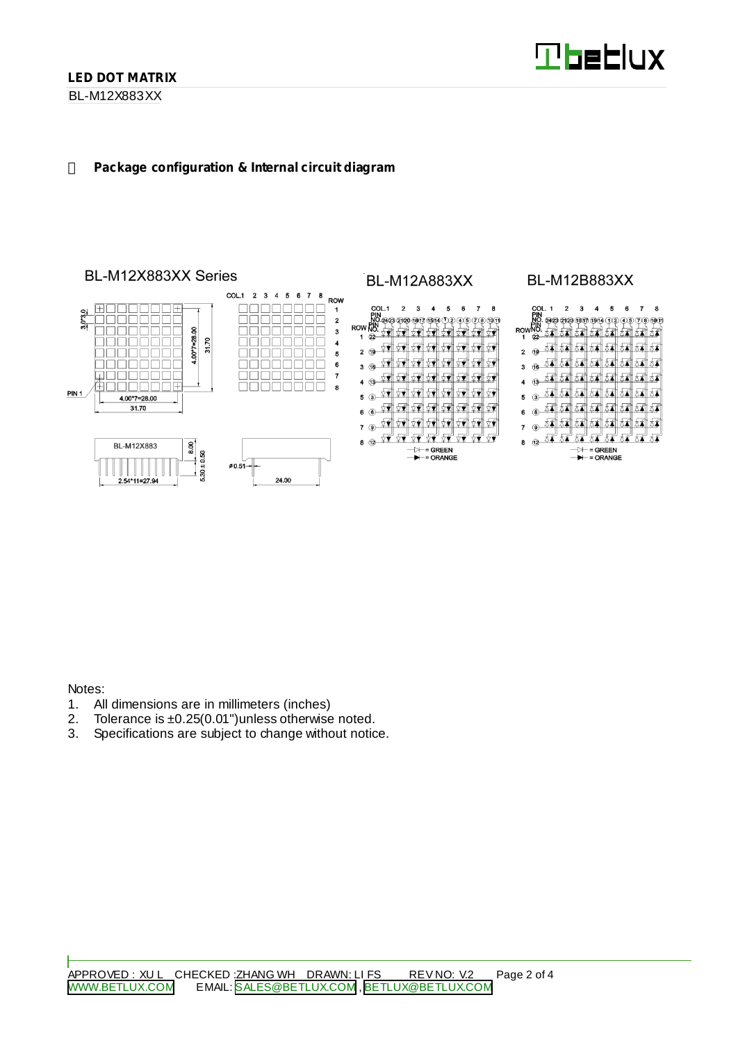BL-M12X883XX

#### **Package configuration & Internal circuit diagram**



Notes:

- 1. All dimensions are in millimeters (inches)
- 2. Tolerance is ±0.25(0.01")unless otherwise noted.
- 3. Specifications are subject to change without notice.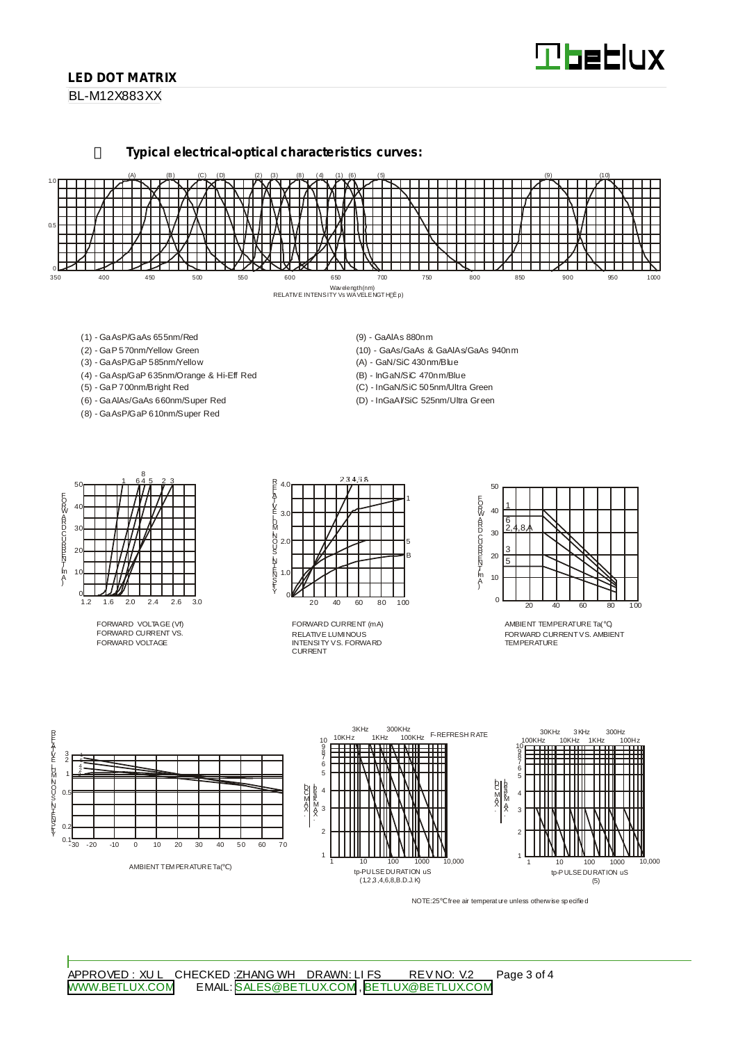# **Tbeblux**

## **LED DOT MATRIX**

BL-M12X883XX

**Typical electrical-optical characteristics curves:**



- (1) GaAsP/GaAs 655nm/Red
- (2) GaP 570nm/Yellow Green
- (3) GaAsP/GaP 585nm/Yellow
- (4) GaAsp/GaP 635nm/Orange & Hi-Eff Red
- (5) GaP 700nm/Bright Red
- (6) GaAlAs/GaAs 660nm/Super Red (8) - GaAsP/GaP 610nm/Super Red
- (9) GaAlAs 880nm
- (10) GaAs/GaAs & GaAlAs/GaAs 940nm (A) - GaN/SiC 430nm/Blue
- (B) InGaN/SiC 470nm/Blue
- (C) InGaN/SiC 505nm/Ultra Green
- (D) InGaAl/SiC 525nm/Ultra Green



FORWARD VOLTAGE (Vf) FORWARD CURRENT VS. FORWARD VOLTAGE



RELATIVE LUMINOUS INTENSITY VS. FORWARD CURRENT FORWARD CURRENT (mA)



AMBIENT TEMPERATURE Ta( ) FORWARD CURRENTVS. AMBIENT TEMPERATURE



NOTE:25 free air temperature unless otherwise specified